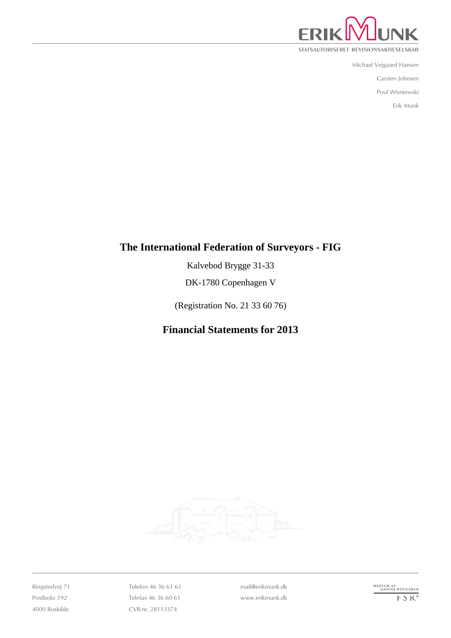

STATSAUTORISERET REVISIONSAKTIESELSKAB

Michael Vejgaard Hansen

Carsten Johnsen

Poul Wisniewski

Erik Munk

## **The International Federation of Surveyors - FIG**

Kalvebod Brygge 31-33

DK-1780 Copenhagen V

(Registration No. 21 33 60 76)

# **Financial Statements for 2013**



Ringstedvej 71 Postboks 192 4000 Roskilde Telefon 46 36 61 61 Telefax 46 36 60 61 CVR-nr. 28113374

mail@erikmunk.dk www.erikmunk.dk MEDLEM AF<br>DANSKE REVISORER  $F$  S  $K^*$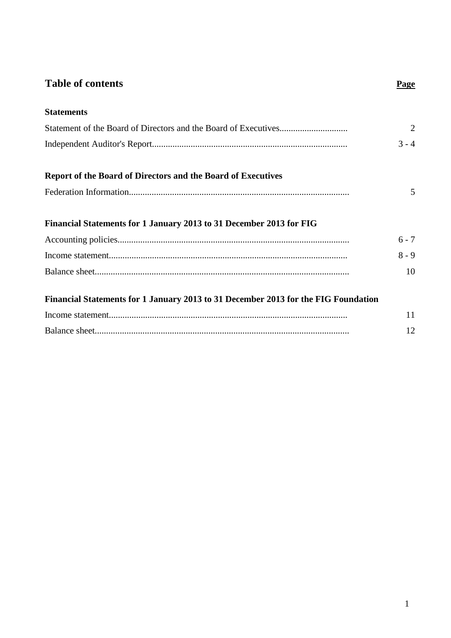# **Table of contents Page**

| <b>Statements</b>                                                                  |         |
|------------------------------------------------------------------------------------|---------|
|                                                                                    | 2       |
|                                                                                    | $3 - 4$ |
| <b>Report of the Board of Directors and the Board of Executives</b>                |         |
|                                                                                    | 5       |
| Financial Statements for 1 January 2013 to 31 December 2013 for FIG                | $6 - 7$ |
|                                                                                    | $8 - 9$ |
|                                                                                    | 10      |
| Financial Statements for 1 January 2013 to 31 December 2013 for the FIG Foundation |         |
|                                                                                    | 11      |

Balance sheet................................................................................................................ 12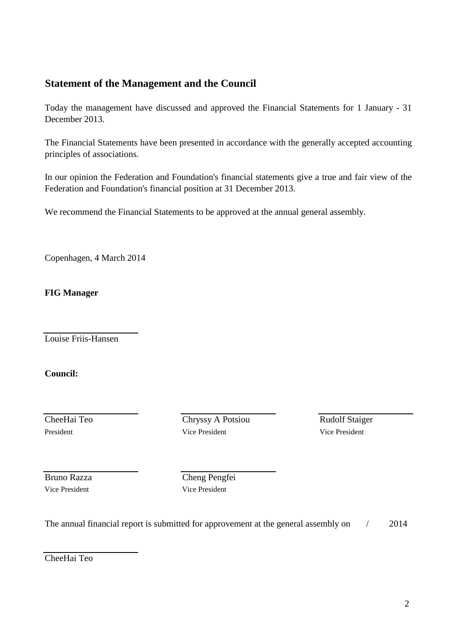### **Statement of the Management and the Council**

Today the management have discussed and approved the Financial Statements for 1 January - 31 December 2013.

The Financial Statements have been presented in accordance with the generally accepted accounting principles of associations.

In our opinion the Federation and Foundation's financial statements give a true and fair view of the Federation and Foundation's financial position at 31 December 2013.

We recommend the Financial Statements to be approved at the annual general assembly.

Copenhagen, 4 March 2014

**FIG Manager**

Louise Friis-Hansen

**Council:**

**CheeHai Teo** Chryssy A Potsiou Rudolf Staiger President Vice President Vice President Vice President Vice President Vice President

Vice President Vice President

Bruno Razza Cheng Pengfei

The annual financial report is submitted for approvement at the general assembly on  $/$  2014

CheeHai Teo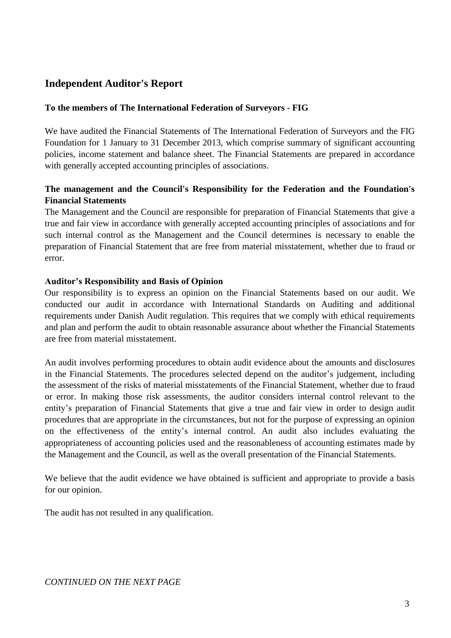### **Independent Auditor's Report**

#### **To the members of The International Federation of Surveyors - FIG**

We have audited the Financial Statements of The International Federation of Surveyors and the FIG Foundation for 1 January to 31 December 2013, which comprise summary of significant accounting policies, income statement and balance sheet. The Financial Statements are prepared in accordance with generally accepted accounting principles of associations.

#### **The management and the Council's Responsibility for the Federation and the Foundation's Financial Statements**

The Management and the Council are responsible for preparation of Financial Statements that give a true and fair view in accordance with generally accepted accounting principles of associations and for such internal control as the Management and the Council determines is necessary to enable the preparation of Financial Statement that are free from material misstatement, whether due to fraud or error.

#### **Auditor's Responsibility and Basis of Opinion**

Our responsibility is to express an opinion on the Financial Statements based on our audit. We conducted our audit in accordance with International Standards on Auditing and additional requirements under Danish Audit regulation. This requires that we comply with ethical requirements and plan and perform the audit to obtain reasonable assurance about whether the Financial Statements are free from material misstatement.

An audit involves performing procedures to obtain audit evidence about the amounts and disclosures in the Financial Statements. The procedures selected depend on the auditor's judgement, including the assessment of the risks of material misstatements of the Financial Statement, whether due to fraud or error. In making those risk assessments, the auditor considers internal control relevant to the entity's preparation of Financial Statements that give a true and fair view in order to design audit procedures that are appropriate in the circumstances, but not for the purpose of expressing an opinion on the effectiveness of the entity's internal control. An audit also includes evaluating the appropriateness of accounting policies used and the reasonableness of accounting estimates made by the Management and the Council, as well as the overall presentation of the Financial Statements.

We believe that the audit evidence we have obtained is sufficient and appropriate to provide a basis for our opinion.

The audit has not resulted in any qualification.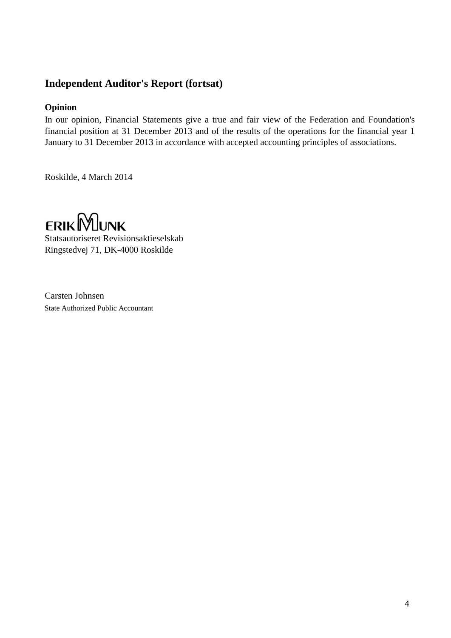### **Independent Auditor's Report (fortsat)**

#### **Opinion**

In our opinion, Financial Statements give a true and fair view of the Federation and Foundation's financial position at 31 December 2013 and of the results of the operations for the financial year 1 January to 31 December 2013 in accordance with accepted accounting principles of associations.

Roskilde, 4 March 2014



Statsautoriseret Revisionsaktieselskab Ringstedvej 71, DK-4000 Roskilde

Carsten Johnsen State Authorized Public Accountant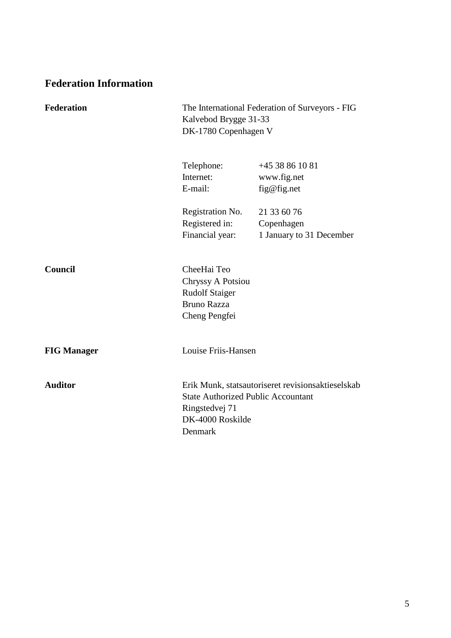# **Federation Information**

| <b>Federation</b>  | The International Federation of Surveyors - FIG<br>Kalvebod Brygge 31-33<br>DK-1780 Copenhagen V        |                                                       |
|--------------------|---------------------------------------------------------------------------------------------------------|-------------------------------------------------------|
|                    | Telephone:<br>Internet:<br>E-mail:                                                                      | $+4538861081$<br>www.fig.net<br>fig@fig.net           |
|                    | Registration No.<br>Registered in:<br>Financial year:                                                   | 21 33 60 76<br>Copenhagen<br>1 January to 31 December |
| <b>Council</b>     | CheeHai Teo<br><b>Chryssy A Potsiou</b><br><b>Rudolf Staiger</b><br><b>Bruno Razza</b><br>Cheng Pengfei |                                                       |
| <b>FIG Manager</b> | Louise Friis-Hansen                                                                                     |                                                       |
| <b>Auditor</b>     | <b>State Authorized Public Accountant</b><br>Ringstedvej 71<br>DK-4000 Roskilde<br>Denmark              | Erik Munk, statsautoriseret revisionsaktieselskab     |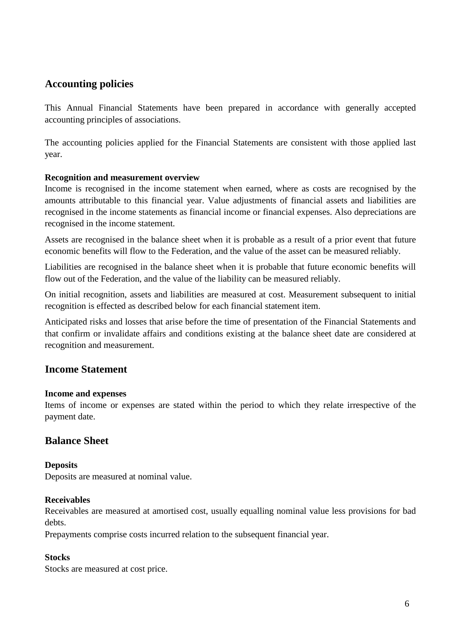### **Accounting policies**

This Annual Financial Statements have been prepared in accordance with generally accepted accounting principles of associations.

The accounting policies applied for the Financial Statements are consistent with those applied last year.

#### **Recognition and measurement overview**

Income is recognised in the income statement when earned, where as costs are recognised by the amounts attributable to this financial year. Value adjustments of financial assets and liabilities are recognised in the income statements as financial income or financial expenses. Also depreciations are recognised in the income statement.

Assets are recognised in the balance sheet when it is probable as a result of a prior event that future economic benefits will flow to the Federation, and the value of the asset can be measured reliably.

Liabilities are recognised in the balance sheet when it is probable that future economic benefits will flow out of the Federation, and the value of the liability can be measured reliably.

On initial recognition, assets and liabilities are measured at cost. Measurement subsequent to initial recognition is effected as described below for each financial statement item.

Anticipated risks and losses that arise before the time of presentation of the Financial Statements and that confirm or invalidate affairs and conditions existing at the balance sheet date are considered at recognition and measurement.

### **Income Statement**

#### **Income and expenses**

Items of income or expenses are stated within the period to which they relate irrespective of the payment date.

### **Balance Sheet**

#### **Deposits**

Deposits are measured at nominal value.

#### **Receivables**

Receivables are measured at amortised cost, usually equalling nominal value less provisions for bad debts.

Prepayments comprise costs incurred relation to the subsequent financial year.

### **Stocks**

Stocks are measured at cost price.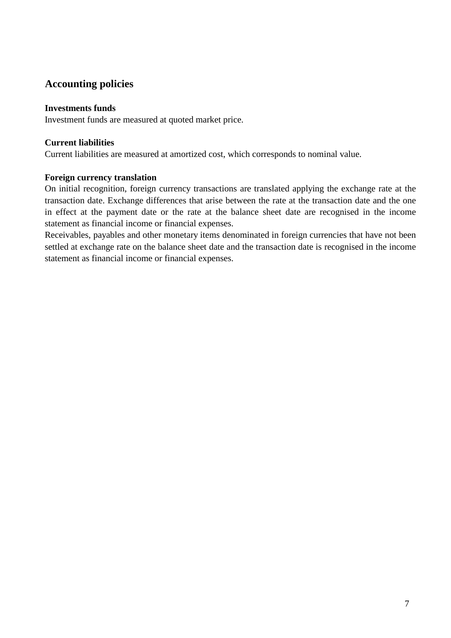### **Accounting policies**

#### **Investments funds**

Investment funds are measured at quoted market price.

#### **Current liabilities**

Current liabilities are measured at amortized cost, which corresponds to nominal value.

#### **Foreign currency translation**

On initial recognition, foreign currency transactions are translated applying the exchange rate at the transaction date. Exchange differences that arise between the rate at the transaction date and the one in effect at the payment date or the rate at the balance sheet date are recognised in the income statement as financial income or financial expenses.

Receivables, payables and other monetary items denominated in foreign currencies that have not been settled at exchange rate on the balance sheet date and the transaction date is recognised in the income statement as financial income or financial expenses.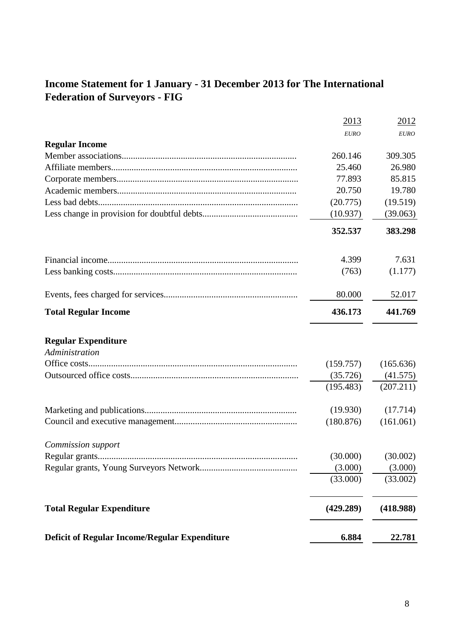# **Income Statement for 1 January - 31 December 2013 for The International Federation of Surveyors - FIG**

| <b>Deficit of Regular Income/Regular Expenditure</b> | 6.884       | 22.781      |
|------------------------------------------------------|-------------|-------------|
| <b>Total Regular Expenditure</b>                     | (429.289)   | (418.988)   |
|                                                      | (33.000)    | (33.002)    |
|                                                      | (3.000)     | (3.000)     |
| Regular grants                                       | (30.000)    | (30.002)    |
| <b>Commission</b> support                            |             |             |
|                                                      | (180.876)   | (161.061)   |
|                                                      | (19.930)    | (17.714)    |
|                                                      | (195.483)   | (207.211)   |
|                                                      | (35.726)    | (41.575)    |
|                                                      | (159.757)   | (165.636)   |
| <b>Regular Expenditure</b><br>Administration         |             |             |
| <b>Total Regular Income</b>                          | 436.173     | 441.769     |
|                                                      | 80.000      | 52.017      |
|                                                      | (763)       | (1.177)     |
|                                                      | 4.399       | 7.631       |
|                                                      | 352.537     | 383.298     |
|                                                      | (10.937)    | (39.063)    |
|                                                      | (20.775)    | (19.519)    |
|                                                      | 20.750      | 19.780      |
|                                                      | 77.893      | 85.815      |
|                                                      | 25.460      | 26.980      |
|                                                      | 260.146     | 309.305     |
| <b>Regular Income</b>                                |             |             |
|                                                      | <b>EURO</b> | <b>EURO</b> |
|                                                      | 2013        | 2012        |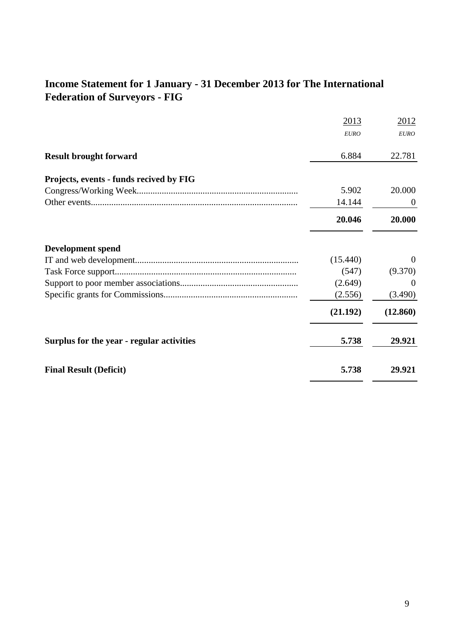# **Income Statement for 1 January - 31 December 2013 for The International Federation of Surveyors - FIG**

|                                           | 2013        | 2012           |
|-------------------------------------------|-------------|----------------|
|                                           | <b>EURO</b> | <b>EURO</b>    |
| <b>Result brought forward</b>             | 6.884       | 22.781         |
| Projects, events - funds recived by FIG   |             |                |
|                                           | 5.902       | 20.000         |
|                                           | 14.144      | $\overline{0}$ |
|                                           | 20.046      | 20.000         |
| <b>Development spend</b>                  |             |                |
|                                           | (15.440)    | $\Omega$       |
|                                           | (547)       | (9.370)        |
|                                           | (2.649)     | $\theta$       |
|                                           | (2.556)     | (3.490)        |
|                                           | (21.192)    | (12.860)       |
| Surplus for the year - regular activities | 5.738       | 29.921         |
| <b>Final Result (Deficit)</b>             | 5.738       | 29.921         |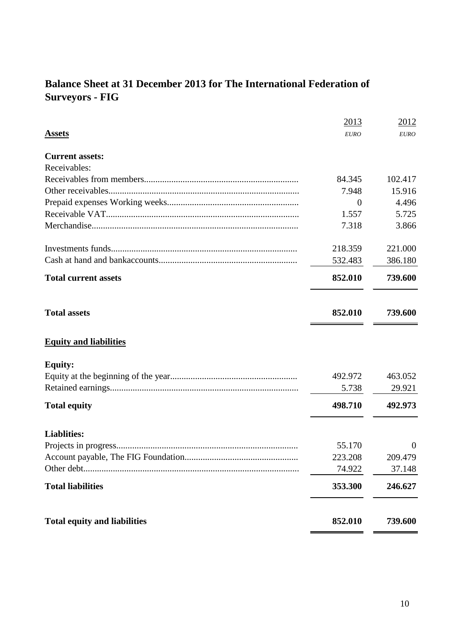# **Balance Sheet at 31 December 2013 for The International Federation of Surveyors - FIG**

| <b>Liablities:</b><br><b>Total liabilities</b> | 55.170<br>223.208<br>74.922<br>353.300 | $\theta$<br>209.479<br>37.148<br>246.627 |
|------------------------------------------------|----------------------------------------|------------------------------------------|
|                                                |                                        |                                          |
|                                                |                                        |                                          |
|                                                |                                        |                                          |
|                                                |                                        |                                          |
| <b>Total equity</b>                            | 498.710                                | 492.973                                  |
|                                                | 5.738                                  | 29.921                                   |
| <b>Equity:</b>                                 | 492.972                                | 463.052                                  |
| <b>Equity and liabilities</b>                  |                                        |                                          |
| <b>Total assets</b>                            | 852.010                                | 739.600                                  |
| <b>Total current assets</b>                    | 852.010                                | 739.600                                  |
|                                                | 532.483                                | 386.180                                  |
|                                                | 218.359                                | 221.000                                  |
|                                                | 7.318                                  | 3.866                                    |
|                                                | 1.557                                  | 5.725                                    |
|                                                | $\overline{0}$                         | 4.496                                    |
|                                                |                                        | 15.916                                   |
| <b>Current assets:</b><br>Receivables:         |                                        |                                          |
|                                                |                                        |                                          |
|                                                | 2013                                   | 2012<br><b>EURO</b>                      |
| <b>Assets</b>                                  | <b>EURO</b><br>84.345<br>7.948         | 102.417                                  |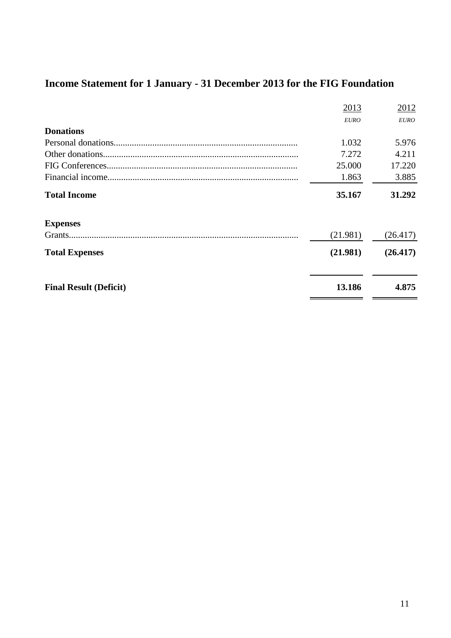# **Income Statement for 1 January - 31 December 2013 for the FIG Foundation**

| Grants              | (21.981)    | (26.417)    |
|---------------------|-------------|-------------|
| <b>Expenses</b>     |             |             |
| <b>Total Income</b> | 35.167      | 31.292      |
|                     | 1.863       | 3.885       |
|                     | 25,000      | 17.220      |
|                     | 7.272       | 4.211       |
|                     | 1.032       | 5.976       |
| <b>Donations</b>    |             |             |
|                     | <b>EURO</b> | <b>EURO</b> |
|                     | 2013        | 2012        |